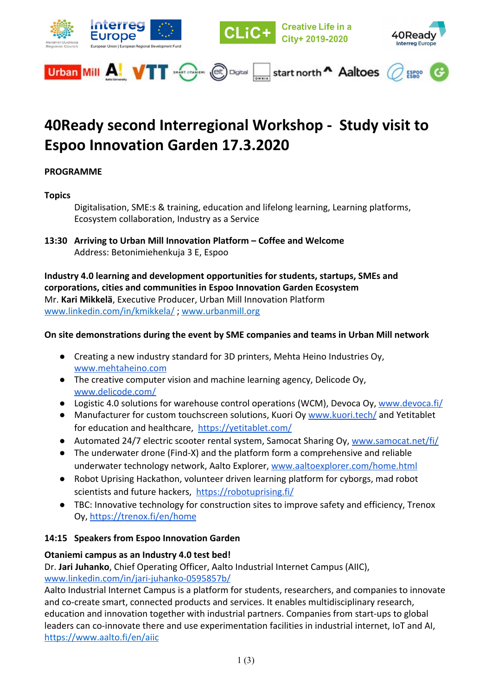

# **40Ready second Interregional Workshop - Study visit to Espoo Innovation Garden 17.3.2020**

# **PROGRAMME**

**Topics**

Digitalisation, SME:s & training, education and lifelong learning, Learning platforms, Ecosystem collaboration, Industry as a Service

**13:30 Arriving to Urban Mill Innovation Platform – Coffee and Welcome** Address: Betonimiehenkuja 3 E, Espoo

**Industry 4.0 learning and development opportunities for students, startups, SMEs and corporations, cities and communities in Espoo Innovation Garden Ecosystem** Mr. **Kari Mikkelä**, Executive Producer, Urban Mill Innovation Platform [www.linkedin.com/in/kmikkela/](http://www.linkedin.com/in/kmikkela/) ; [www.urbanmill.org](http://www.urbanmill.org/)

#### **On site demonstrations during the event by SME companies and teams in Urban Mill network**

- Creating a new industry standard for 3D printers, Mehta Heino Industries Oy, [www.mehtaheino.com](http://www.mehtaheino.com/)
- The creative computer vision and machine learning agency, Delicode Oy, [www.delicode.com/](http://www.delicode.com/)
- Logistic 4.0 solutions for warehouse control operations (WCM), Devoca Oy, [www.devoca.fi/](https://www.devoca.fi/)
- Manufacturer for custom touchscreen solutions, Kuori Oy [www.kuori.tech/](http://www.kuori.tech/) and Yetitablet for education and healthcare,<https://yetitablet.com/>
- Automated 24/7 electric scooter rental system, Samocat Sharing Oy, [www.samocat.net/fi/](http://www.samocat.net/fi/)
- The underwater drone (Find-X) and the platform form a comprehensive and reliable underwater technology network, Aalto Explorer, [www.aaltoexplorer.com/home.html](https://www.aaltoexplorer.com/home.html)
- Robot Uprising Hackathon, [volunteer driven learning platform f](https://robotuprising.fi/)or cyborgs, mad robot scientists and future hackers,<https://robotuprising.fi/>
- TBC: Innovative technology for construction sites to improve safety and efficiency, Trenox Oy,<https://trenox.fi/en/home>

#### **14:15 Speakers from Espoo Innovation Garden**

#### **Otaniemi campus as an Industry 4.0 test bed!**

Dr. **Jari Juhanko**, Chief Operating Officer, Aalto Industrial Internet Campus (AIIC), [www.linkedin.com/in/jari-juhanko-0595857b/](http://www.linkedin.com/in/jari-juhanko-0595857b/)

Aalto Industrial Internet Campus is a platform for students, researchers, and companies to innovate and co-create smart, connected products and services. It enables multidisciplinary research, education and innovation together with industrial partners. Companies from start-ups to global leaders can co-innovate there and use experimentation facilities in industrial internet, IoT and AI, <https://www.aalto.fi/en/aiic>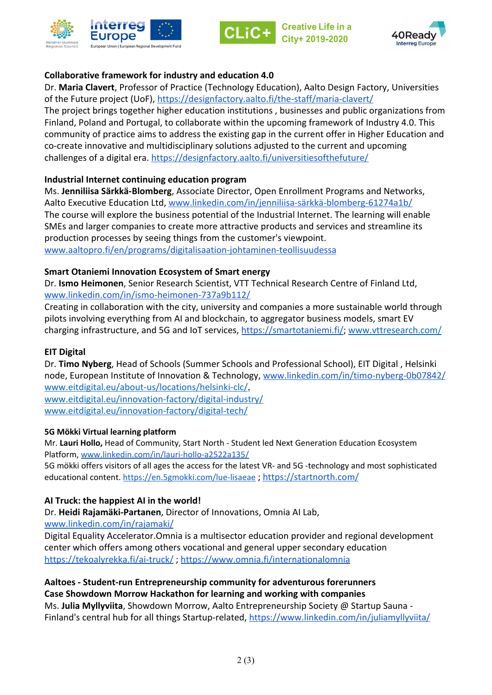



reative Life in a City+ 2019-2020



### **Collaborative framework for industry and education 4.0**

Dr. **Maria Clavert**, Professor of Practice (Technology Education), Aalto Design Factory, Universities of the Future project (UoF), <https://designfactory.aalto.fi/the-staff/maria-clavert/>

The project brings together higher education institutions , businesses and public organizations from Finland, Poland and Portugal, to collaborate within the upcoming framework of Industry 4.0. This community of practice aims to address the existing gap in the current offer in Higher Education and co-create innovative and multidisciplinary solutions adjusted to the current and upcoming challenges of a digital era. <https://designfactory.aalto.fi/universitiesofthefuture/>

# **Industrial Internet continuing education program**

Ms. **Jenniliisa Särkkä-Blomberg**, Associate Director, Open Enrollment Programs and Networks, Aalto Executive Education Ltd, [www.linkedin.com/in/jenniliisa-särkkä-blomberg-61274a1b/](http://www.linkedin.com/in/jenniliisa-s%C3%A4rkk%C3%A4-blomberg-61274a1b/) The course will explore the business potential of the Industrial Internet. The learning will enable SMEs and larger companies to create more attractive products and services and streamline its production processes by seeing things from the customer's viewpoint. [www.aaltopro.fi/en/programs/digitalisaation-johtaminen-teollisuudessa](https://www.aaltopro.fi/en/programs/digitalisaation-johtaminen-teollisuudessa)

# **Smart Otaniemi Innovation Ecosystem of Smart energy**

Dr. **Ismo Heimonen**, Senior Research Scientist, VTT Technical Research Centre of Finland Ltd, [www.linkedin.com/in/ismo-heimonen-737a9b112/](https://www.linkedin.com/in/ismo-heimonen-737a9b112/)

Creating in collaboration with the city, university and companies a more sustainable world through pilots involving everything from AI and blockchain, to aggregator business models, smart EV charging infrastructure, and 5G and IoT services, <https://smartotaniemi.fi/>; [www.vttresearch.com/](http://www.vttresearch.com/)

### **EIT Digital**

Dr. **Timo Nyberg**, Head of Schools (Summer Schools and Professional School), EIT Digital , Helsinki node, European Institute of Innovation & Technology, [www.linkedin.com/in/timo-nyberg-0b07842/](http://www.linkedin.com/in/timo-nyberg-0b07842/) [www.eitdigital.eu/about-us/locations/helsinki-clc/](http://www.eitdigital.eu/about-us/locations/helsinki-clc/),

[www.eitdigital.eu/innovation-factory/digital-industry/](https://www.eitdigital.eu/innovation-factory/digital-industry/) [www.eitdigital.eu/innovation-factory/digital-tech/](https://www.eitdigital.eu/innovation-factory/digital-tech/)

#### **5G Mökki Virtual learning platform**

Mr. **Lauri Hollo,** Head of Community, Start North - Student led Next Generation Education Ecosystem Platform, [www.linkedin.com/in/lauri-hollo-a2522a135/](http://www.linkedin.com/in/lauri-hollo-a2522a135/)

5G mökki offers visitors of all ages the access for the latest VR- and 5G -technology and most sophisticated educational content. <https://en.5gmokki.com/lue-lisaeae> ;<https://startnorth.com/>

#### **AI Truck: the happiest AI in the world!**

Dr. **Heidi Rajamäki-Partanen**, Director of Innovations, Omnia AI Lab,

[www.linkedin.com/in/rajamaki/](http://www.linkedin.com/in/rajamaki/)

Digital Equality Accelerator.Omnia is a multisector education provider and regional development center which offers among others vocational and general upper secondary education <https://tekoalyrekka.fi/ai-truck/> ; <https://www.omnia.fi/internationalomnia>

#### **Aaltoes - Student-run Entrepreneurship community for adventurous forerunners Case Showdown Morrow Hackathon for learning and working with companies**

Ms. **Julia Myllyviita**, Showdown Morrow, Aalto Entrepreneurship Society @ Startup Sauna - Finland's central hub for all things Startup-related, <https://www.linkedin.com/in/juliamyllyviita/>